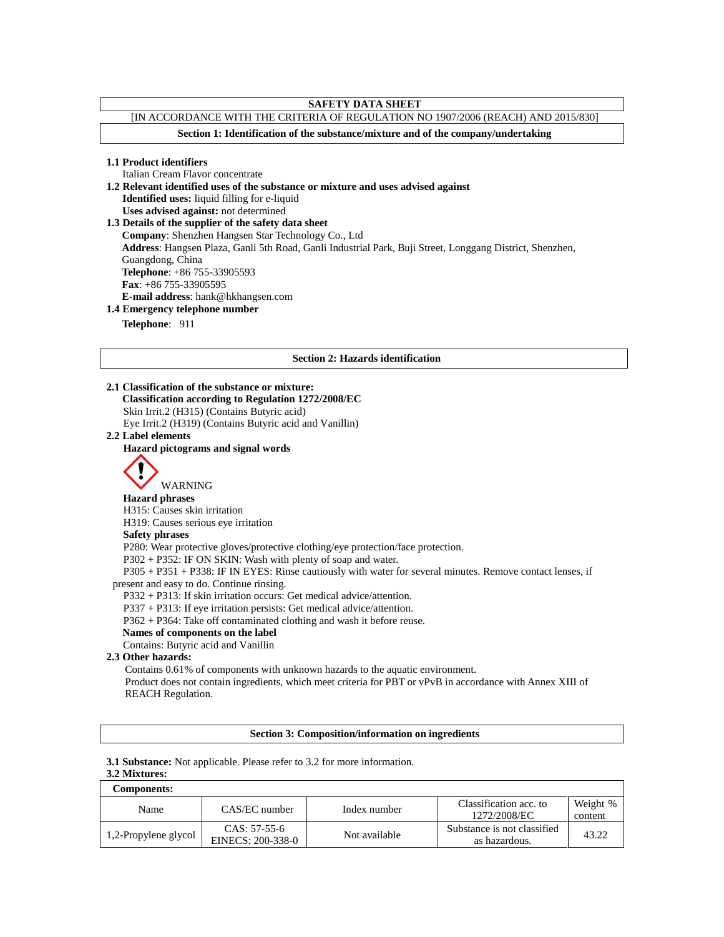# **SAFETY DATA SHEET**

# [IN ACCORDANCE WITH THE CRITERIA OF REGULATION NO 1907/2006 (REACH) AND 2015/830]

**Section 1: Identification of the substance/mixture and of the company/undertaking**

**1.1 Product identifiers**

Italian Cream Flavor concentrate

**1.2 Relevant identified uses of the substance or mixture and uses advised against**

**Identified uses:** liquid filling for e-liquid

**Uses advised against:** not determined

**1.3 Details of the supplier of the safety data sheet**

**Company**: Shenzhen Hangsen Star Technology Co., Ltd

**Address**: Hangsen Plaza, Ganli 5th Road, Ganli Industrial Park, Buji Street, Longgang District, Shenzhen,

Guangdong, China

**Telephone**: +86 755-33905593 **Fax**: +86 755-33905595

**E-mail address**: hank@hkhangsen.com

## **1.4 Emergency telephone number**

**Telephone**: 911

## **Section 2: Hazards identification**

## **2.1 Classification of the substance or mixture:**

**Classification according to Regulation 1272/2008/EC**

Skin Irrit.2 (H315) (Contains Butyric acid)

Eye Irrit.2 (H319) (Contains Butyric acid and Vanillin) **2.2 Label elements**

## **Hazard pictograms and signal words**



WARNING **Hazard phrases**

H315: Causes skin irritation

H319: Causes serious eye irritation

## **Safety phrases**

P280: Wear protective gloves/protective clothing/eye protection/face protection.

P302 + P352: IF ON SKIN: Wash with plenty of soap and water.

P305 + P351 + P338: IF IN EYES: Rinse cautiously with water for several minutes. Remove contact lenses, if present and easy to do. Continue rinsing.

P332 + P313: If skin irritation occurs: Get medical advice/attention.

P337 + P313: If eye irritation persists: Get medical advice/attention.

P362 + P364: Take off contaminated clothing and wash it before reuse.

## **Names of components on the label**

Contains: Butyric acid and Vanillin

## **2.3 Other hazards:**

Contains 0.61% of components with unknown hazards to the aquatic environment. Product does not contain ingredients, which meet criteria for PBT or vPvB in accordance with Annex XIII of REACH Regulation.

## **Section 3: Composition/information on ingredients**

**3.1 Substance:** Not applicable. Please refer to 3.2 for more information.

## **3.2 Mixtures:**

| Components:          |                                     |               |                                              |                     |
|----------------------|-------------------------------------|---------------|----------------------------------------------|---------------------|
| Name                 | CAS/EC number                       | Index number  | Classification acc. to<br>1272/2008/EC       | Weight %<br>content |
| 1,2-Propylene glycol | $CAS: 57-55-6$<br>EINECS: 200-338-0 | Not available | Substance is not classified<br>as hazardous. | 43.22               |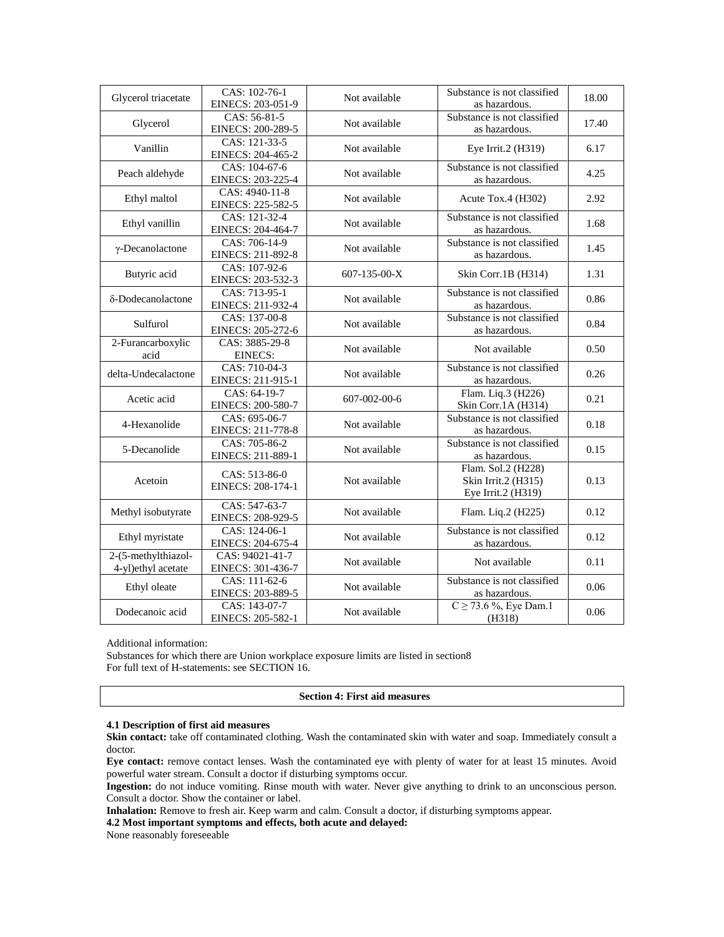| Glycerol triacetate                       | CAS: 102-76-1<br>EINECS: 203-051-9   | Substance is not classified<br>Not available<br>as hazardous. |                                                                 | 18.00 |
|-------------------------------------------|--------------------------------------|---------------------------------------------------------------|-----------------------------------------------------------------|-------|
| Glycerol                                  | CAS: 56-81-5<br>EINECS: 200-289-5    | Substance is not classified<br>Not available<br>as hazardous. |                                                                 | 17.40 |
| Vanillin                                  | CAS: 121-33-5<br>EINECS: 204-465-2   | Not available                                                 | Eye Irrit.2 (H319)                                              | 6.17  |
| Peach aldehyde                            | CAS: 104-67-6<br>EINECS: 203-225-4   | Not available                                                 | Substance is not classified<br>as hazardous.                    | 4.25  |
| Ethyl maltol                              | CAS: 4940-11-8<br>EINECS: 225-582-5  | Not available<br>Acute Tox.4 (H302)                           |                                                                 | 2.92  |
| Ethyl vanillin                            | CAS: 121-32-4<br>EINECS: 204-464-7   | Substance is not classified<br>Not available<br>as hazardous. |                                                                 | 1.68  |
| $\gamma$ -Decanolactone                   | CAS: 706-14-9<br>EINECS: 211-892-8   | Not available                                                 | Substance is not classified<br>as hazardous.                    |       |
| Butyric acid                              | CAS: 107-92-6<br>EINECS: 203-532-3   | 607-135-00-X                                                  | Skin Corr.1B (H314)                                             | 1.31  |
| δ-Dodecanolactone                         | CAS: 713-95-1<br>EINECS: 211-932-4   | Not available                                                 | Substance is not classified<br>as hazardous.                    | 0.86  |
| Sulfurol                                  | CAS: 137-00-8<br>EINECS: 205-272-6   | Not available                                                 | Substance is not classified<br>as hazardous.                    | 0.84  |
| 2-Furancarboxylic<br>acid                 | CAS: 3885-29-8<br>EINECS:            | Not available                                                 | Not available                                                   |       |
| delta-Undecalactone                       | CAS: 710-04-3<br>EINECS: 211-915-1   | Not available                                                 | Substance is not classified<br>as hazardous.                    | 0.26  |
| Acetic acid                               | CAS: 64-19-7<br>EINECS: 200-580-7    | 607-002-00-6                                                  | Flam. Liq.3 (H226)<br>Skin Corr.1A (H314)                       | 0.21  |
| 4-Hexanolide                              | CAS: 695-06-7<br>EINECS: 211-778-8   | Not available                                                 | Substance is not classified<br>as hazardous.                    | 0.18  |
| 5-Decanolide                              | CAS: 705-86-2<br>EINECS: 211-889-1   | Substance is not classified<br>Not available<br>as hazardous. |                                                                 | 0.15  |
| Acetoin                                   | CAS: 513-86-0<br>EINECS: 208-174-1   | Not available                                                 | Flam. Sol.2 (H228)<br>Skin Irrit.2 (H315)<br>Eye Irrit.2 (H319) | 0.13  |
| Methyl isobutyrate                        | CAS: 547-63-7<br>EINECS: 208-929-5   | Not available                                                 | Flam. Liq.2 (H225)                                              | 0.12  |
| Ethyl myristate                           | CAS: 124-06-1<br>EINECS: 204-675-4   | Not available                                                 | Substance is not classified<br>as hazardous.                    | 0.12  |
| 2-(5-methylthiazol-<br>4-yl)ethyl acetate | CAS: 94021-41-7<br>EINECS: 301-436-7 | Not available                                                 | Not available                                                   | 0.11  |
| Ethyl oleate                              | CAS: 111-62-6<br>EINECS: 203-889-5   | Not available                                                 | Substance is not classified<br>as hazardous.                    | 0.06  |
| Dodecanoic acid                           | CAS: 143-07-7<br>EINECS: 205-582-1   | Not available                                                 | $C \ge 73.6 \%$ , Eye Dam.1<br>(H318)                           | 0.06  |

Additional information:

Substances for which there are Union workplace exposure limits are listed in section8 For full text of H-statements: see SECTION 16.

#### **Section 4: First aid measures**

# **4.1 Description of first aid measures**

**Skin contact:** take off contaminated clothing. Wash the contaminated skin with water and soap. Immediately consult a doctor.

**Eye contact:** remove contact lenses. Wash the contaminated eye with plenty of water for at least 15 minutes. Avoid powerful water stream. Consult a doctor if disturbing symptoms occur.

**Ingestion:** do not induce vomiting. Rinse mouth with water. Never give anything to drink to an unconscious person. Consult a doctor. Show the container or label.

**Inhalation:** Remove to fresh air. Keep warm and calm. Consult a doctor, if disturbing symptoms appear.

**4.2 Most important symptoms and effects, both acute and delayed:** 

None reasonably foreseeable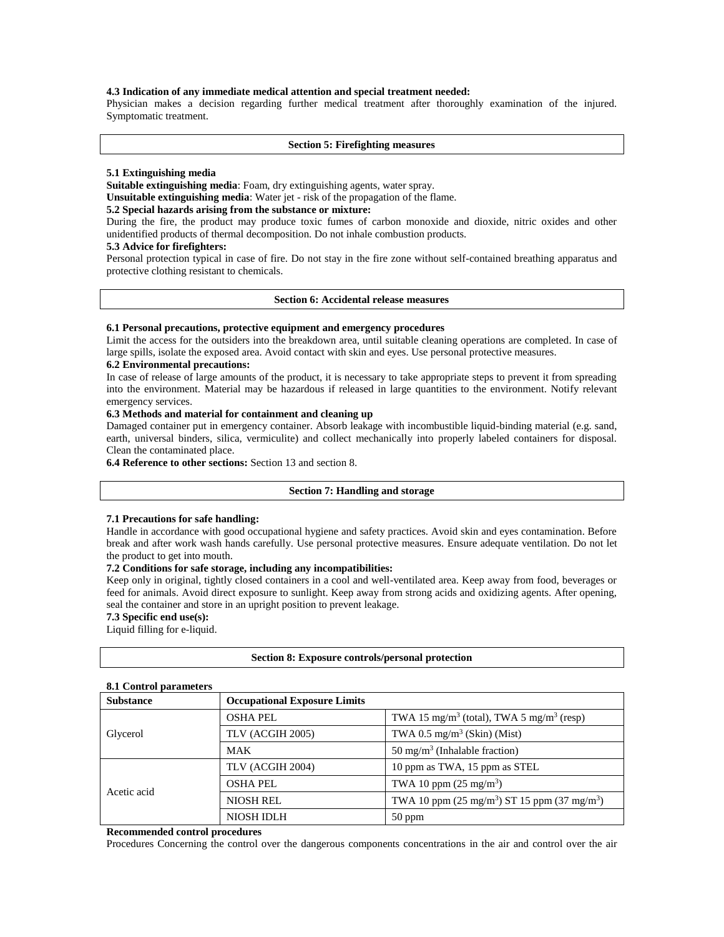## **4.3 Indication of any immediate medical attention and special treatment needed:**

Physician makes a decision regarding further medical treatment after thoroughly examination of the injured. Symptomatic treatment.

#### **Section 5: Firefighting measures**

#### **5.1 Extinguishing media**

**Suitable extinguishing media**: Foam, dry extinguishing agents, water spray.

**Unsuitable extinguishing media**: Water jet - risk of the propagation of the flame.

#### **5.2 Special hazards arising from the substance or mixture:**

During the fire, the product may produce toxic fumes of carbon monoxide and dioxide, nitric oxides and other unidentified products of thermal decomposition. Do not inhale combustion products.

#### **5.3 Advice for firefighters:**

Personal protection typical in case of fire. Do not stay in the fire zone without self-contained breathing apparatus and protective clothing resistant to chemicals.

#### **Section 6: Accidental release measures**

## **6.1 Personal precautions, protective equipment and emergency procedures**

Limit the access for the outsiders into the breakdown area, until suitable cleaning operations are completed. In case of large spills, isolate the exposed area. Avoid contact with skin and eyes. Use personal protective measures.

## **6.2 Environmental precautions:**

In case of release of large amounts of the product, it is necessary to take appropriate steps to prevent it from spreading into the environment. Material may be hazardous if released in large quantities to the environment. Notify relevant emergency services.

## **6.3 Methods and material for containment and cleaning up**

Damaged container put in emergency container. Absorb leakage with incombustible liquid-binding material (e.g. sand, earth, universal binders, silica, vermiculite) and collect mechanically into properly labeled containers for disposal. Clean the contaminated place.

**6.4 Reference to other sections:** Section 13 and section 8.

#### **Section 7: Handling and storage**

## **7.1 Precautions for safe handling:**

Handle in accordance with good occupational hygiene and safety practices. Avoid skin and eyes contamination. Before break and after work wash hands carefully. Use personal protective measures. Ensure adequate ventilation. Do not let the product to get into mouth.

## **7.2 Conditions for safe storage, including any incompatibilities:**

Keep only in original, tightly closed containers in a cool and well-ventilated area. Keep away from food, beverages or feed for animals. Avoid direct exposure to sunlight. Keep away from strong acids and oxidizing agents. After opening, seal the container and store in an upright position to prevent leakage.

## **7.3 Specific end use(s):**

Liquid filling for e-liquid.

## **Section 8: Exposure controls/personal protection**

#### **8.1 Control parameters**

| <b>Substance</b> | <b>Occupational Exposure Limits</b> |                                                                  |  |
|------------------|-------------------------------------|------------------------------------------------------------------|--|
| Glycerol         | <b>OSHA PEL</b>                     | TWA 15 mg/m <sup>3</sup> (total), TWA 5 mg/m <sup>3</sup> (resp) |  |
|                  | TLV (ACGIH 2005)                    | TWA 0.5 mg/m <sup>3</sup> (Skin) (Mist)                          |  |
|                  | <b>MAK</b>                          | 50 mg/m <sup>3</sup> (Inhalable fraction)                        |  |
| Acetic acid      | TLV (ACGIH 2004)                    | 10 ppm as TWA, 15 ppm as STEL                                    |  |
|                  | <b>OSHA PEL</b>                     | TWA 10 ppm $(25 \text{ mg/m}^3)$                                 |  |
|                  | <b>NIOSH REL</b>                    | TWA 10 ppm $(25 \text{ mg/m}^3)$ ST 15 ppm $(37 \text{ mg/m}^3)$ |  |
|                  | NIOSH IDLH                          | $50$ ppm                                                         |  |

## **Recommended control procedures**

Procedures Concerning the control over the dangerous components concentrations in the air and control over the air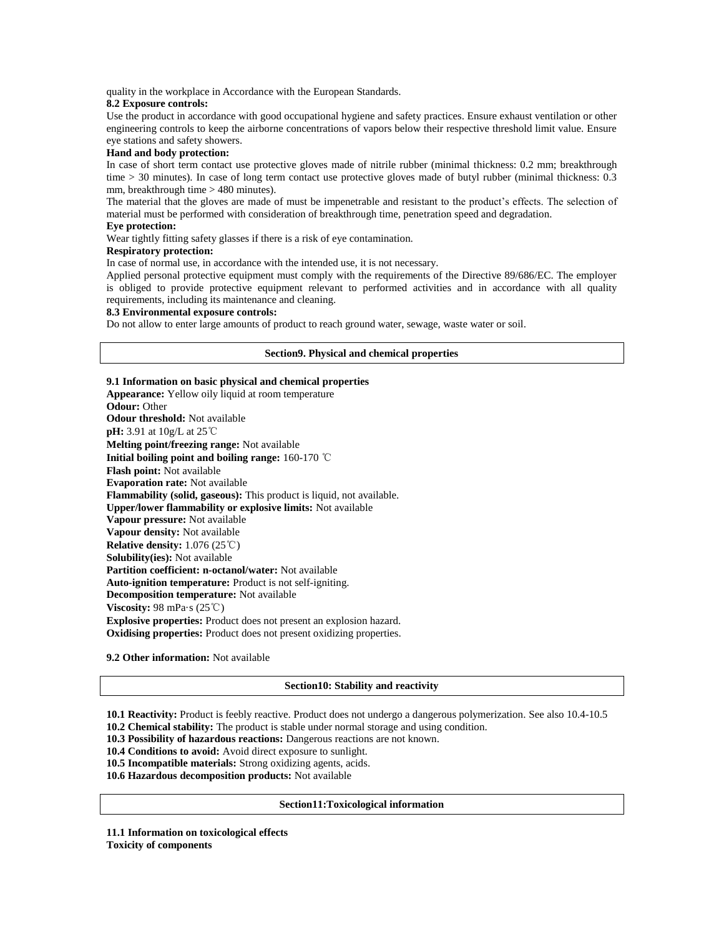quality in the workplace in Accordance with the European Standards.

#### **8.2 Exposure controls:**

Use the product in accordance with good occupational hygiene and safety practices. Ensure exhaust ventilation or other engineering controls to keep the airborne concentrations of vapors below their respective threshold limit value. Ensure eye stations and safety showers.

#### **Hand and body protection:**

In case of short term contact use protective gloves made of nitrile rubber (minimal thickness: 0.2 mm; breakthrough time > 30 minutes). In case of long term contact use protective gloves made of butyl rubber (minimal thickness: 0.3 mm, breakthrough time > 480 minutes).

The material that the gloves are made of must be impenetrable and resistant to the product's effects. The selection of material must be performed with consideration of breakthrough time, penetration speed and degradation.

## **Eye protection:**

Wear tightly fitting safety glasses if there is a risk of eye contamination.

## **Respiratory protection:**

In case of normal use, in accordance with the intended use, it is not necessary.

Applied personal protective equipment must comply with the requirements of the Directive 89/686/EC. The employer is obliged to provide protective equipment relevant to performed activities and in accordance with all quality requirements, including its maintenance and cleaning.

#### **8.3 Environmental exposure controls:**

Do not allow to enter large amounts of product to reach ground water, sewage, waste water or soil.

## **Section9. Physical and chemical properties**

**9.1 Information on basic physical and chemical properties Appearance:** Yellow oily liquid at room temperature **Odour:** Other **Odour threshold:** Not available **pH:** 3.91 at 10g/L at 25℃ **Melting point/freezing range:** Not available **Initial boiling point and boiling range:** 160-170 ℃ **Flash point:** Not available **Evaporation rate:** Not available **Flammability (solid, gaseous):** This product is liquid, not available. **Upper/lower flammability or explosive limits:** Not available **Vapour pressure:** Not available **Vapour density:** Not available **Relative density:** 1.076 (25℃) **Solubility(ies):** Not available **Partition coefficient: n-octanol/water:** Not available **Auto-ignition temperature:** Product is not self-igniting. **Decomposition temperature:** Not available **Viscosity:** 98 mPa·s (25℃) **Explosive properties:** Product does not present an explosion hazard. **Oxidising properties:** Product does not present oxidizing properties.

**9.2 Other information:** Not available

#### **Section10: Stability and reactivity**

**10.1 Reactivity:** Product is feebly reactive. Product does not undergo a dangerous polymerization. See also 10.4-10.5

- **10.2 Chemical stability:** The product is stable under normal storage and using condition. **10.3 Possibility of hazardous reactions:** Dangerous reactions are not known.
- 
- **10.4 Conditions to avoid:** Avoid direct exposure to sunlight.

**10.5 Incompatible materials:** Strong oxidizing agents, acids.

**10.6 Hazardous decomposition products:** Not available

#### **Section11:Toxicological information**

**11.1 Information on toxicological effects Toxicity of components**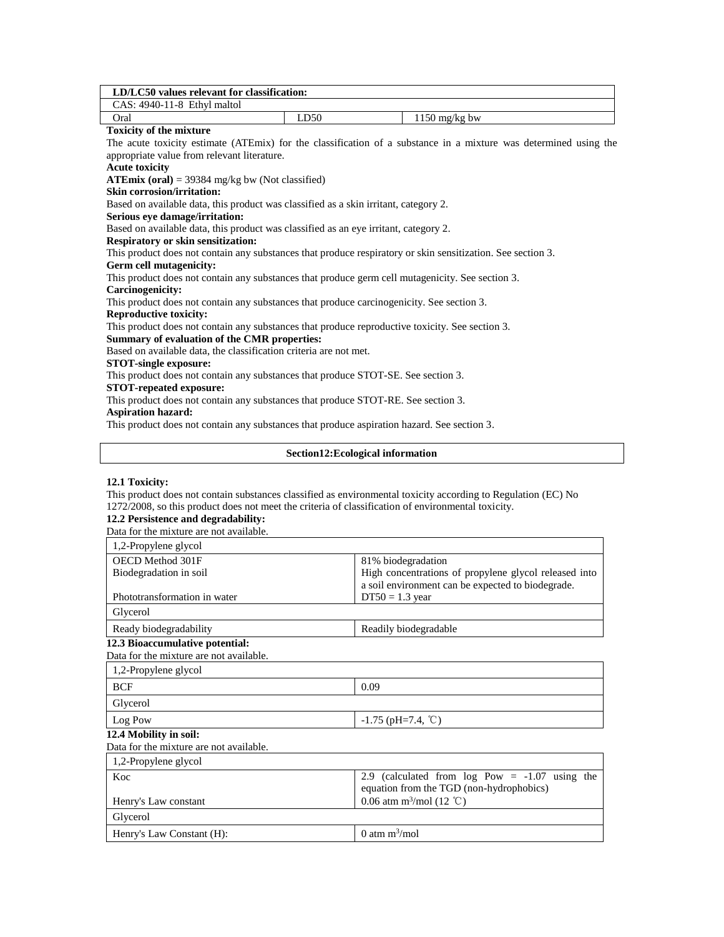| LD/LC50 values relevant for classification:                                                                      |      |  |                 |  |
|------------------------------------------------------------------------------------------------------------------|------|--|-----------------|--|
| CAS: 4940-11-8 Ethyl maltol                                                                                      |      |  |                 |  |
| Oral                                                                                                             | LD50 |  | $1150$ mg/kg bw |  |
| <b>Toxicity of the mixture</b>                                                                                   |      |  |                 |  |
| The acute toxicity estimate (ATEmix) for the classification of a substance in a mixture was determined using the |      |  |                 |  |
| appropriate value from relevant literature.                                                                      |      |  |                 |  |
| <b>Acute toxicity</b>                                                                                            |      |  |                 |  |
| ATE $mix$ (oral) = 39384 mg/kg bw (Not classified)                                                               |      |  |                 |  |
| <b>Skin corrosion/irritation:</b>                                                                                |      |  |                 |  |
| Based on available data, this product was classified as a skin irritant, category 2.                             |      |  |                 |  |
| Serious eye damage/irritation:                                                                                   |      |  |                 |  |
| Based on available data, this product was classified as an eye irritant, category 2.                             |      |  |                 |  |
| <b>Respiratory or skin sensitization:</b>                                                                        |      |  |                 |  |
| This product does not contain any substances that produce respiratory or skin sensitization. See section 3.      |      |  |                 |  |
| Germ cell mutagenicity:                                                                                          |      |  |                 |  |
| This product does not contain any substances that produce germ cell mutagenicity. See section 3.                 |      |  |                 |  |
| Carcinogenicity:                                                                                                 |      |  |                 |  |
| This product does not contain any substances that produce carcinogenicity. See section 3.                        |      |  |                 |  |
| <b>Reproductive toxicity:</b>                                                                                    |      |  |                 |  |
| This product does not contain any substances that produce reproductive toxicity. See section 3.                  |      |  |                 |  |
| Summary of evaluation of the CMR properties:                                                                     |      |  |                 |  |
| Based on available data, the classification criteria are not met.                                                |      |  |                 |  |
| <b>STOT-single exposure:</b>                                                                                     |      |  |                 |  |
| This product does not contain any substances that produce STOT-SE. See section 3.                                |      |  |                 |  |
| <b>STOT-repeated exposure:</b>                                                                                   |      |  |                 |  |
| This product does not contain any substances that produce STOT-RE. See section 3.                                |      |  |                 |  |
| <b>Aspiration hazard:</b>                                                                                        |      |  |                 |  |
| This product does not contain any substances that produce aspiration hazard. See section 3.                      |      |  |                 |  |
|                                                                                                                  |      |  |                 |  |

## **Section12:Ecological information**

# **12.1 Toxicity:**

This product does not contain substances classified as environmental toxicity according to Regulation (EC) No 1272/2008, so this product does not meet the criteria of classification of environmental toxicity.

# **12.2 Persistence and degradability:**

Data for the mixture are not available.

| 1,2-Propylene glycol                    |                                                       |
|-----------------------------------------|-------------------------------------------------------|
| OECD Method 301F                        | 81% biodegradation                                    |
| Biodegradation in soil                  | High concentrations of propylene glycol released into |
|                                         | a soil environment can be expected to biodegrade.     |
| Phototransformation in water            | $DT50 = 1.3$ year                                     |
| Glycerol                                |                                                       |
| Ready biodegradability                  | Readily biodegradable                                 |
| 12.3 Bioaccumulative potential:         |                                                       |
| Data for the mixture are not available. |                                                       |
| 1,2-Propylene glycol                    |                                                       |
| <b>BCF</b>                              | 0.09                                                  |
| Glycerol                                |                                                       |
| $-1.75$ (pH=7.4, °C)<br>Log Pow         |                                                       |
| 12.4 Mobility in soil:                  |                                                       |
| Data for the mixture are not available. |                                                       |
| 1,2-Propylene glycol                    |                                                       |
| Koc                                     | 2.9 (calculated from $log Pow = -1.07$ using the      |
|                                         | equation from the TGD (non-hydrophobics)              |
| Henry's Law constant                    | 0.06 atm m <sup>3</sup> /mol (12 °C)                  |
| Glycerol                                |                                                       |
| Henry's Law Constant (H):               | 0 atm $m^3$ /mol                                      |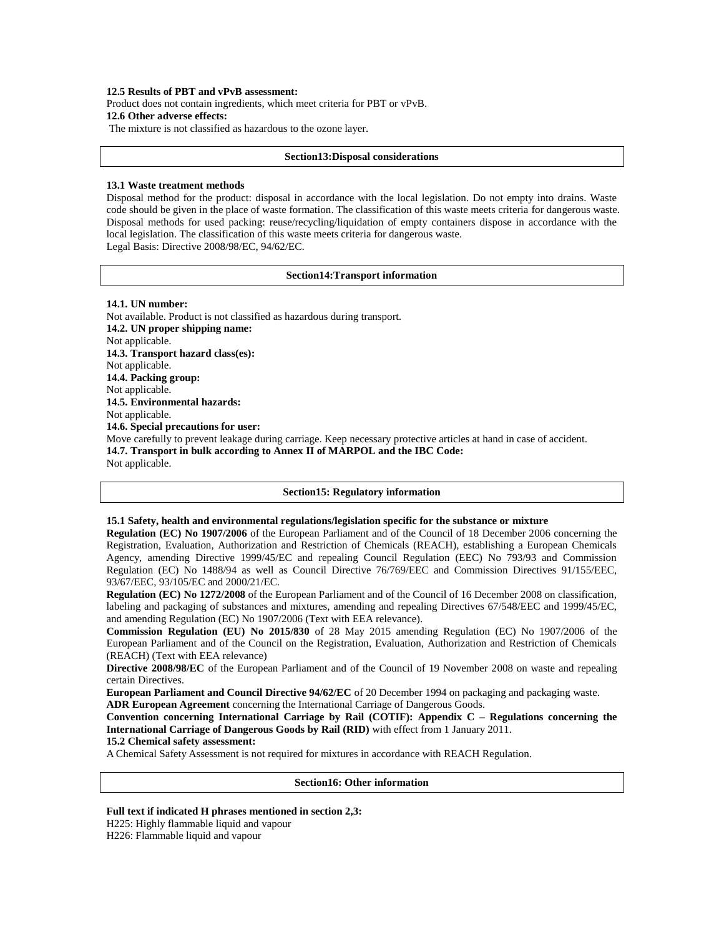### **12.5 Results of PBT and vPvB assessment:**

Product does not contain ingredients, which meet criteria for PBT or vPvB.

# **12.6 Other adverse effects:**

The mixture is not classified as hazardous to the ozone layer.

## **Section13:Disposal considerations**

## **13.1 Waste treatment methods**

Disposal method for the product: disposal in accordance with the local legislation. Do not empty into drains. Waste code should be given in the place of waste formation. The classification of this waste meets criteria for dangerous waste. Disposal methods for used packing: reuse/recycling/liquidation of empty containers dispose in accordance with the local legislation. The classification of this waste meets criteria for dangerous waste. Legal Basis: Directive 2008/98/EC, 94/62/EC.

# **Section14:Transport information**

#### **14.1. UN number:**

Not available. Product is not classified as hazardous during transport. **14.2. UN proper shipping name:**  Not applicable. **14.3. Transport hazard class(es):**  Not applicable. **14.4. Packing group:** Not applicable. **14.5. Environmental hazards:**  Not applicable. **14.6. Special precautions for user:**  Move carefully to prevent leakage during carriage. Keep necessary protective articles at hand in case of accident. **14.7. Transport in bulk according to Annex II of MARPOL and the IBC Code:**  Not applicable.

#### **Section15: Regulatory information**

## **15.1 Safety, health and environmental regulations/legislation specific for the substance or mixture**

**Regulation (EC) No 1907/2006** of the European Parliament and of the Council of 18 December 2006 concerning the Registration, Evaluation, Authorization and Restriction of Chemicals (REACH), establishing a European Chemicals Agency, amending Directive 1999/45/EC and repealing Council Regulation (EEC) No 793/93 and Commission Regulation (EC) No 1488/94 as well as Council Directive 76/769/EEC and Commission Directives 91/155/EEC, 93/67/EEC, 93/105/EC and 2000/21/EC.

**Regulation (EC) No 1272/2008** of the European Parliament and of the Council of 16 December 2008 on classification, labeling and packaging of substances and mixtures, amending and repealing Directives 67/548/EEC and 1999/45/EC, and amending Regulation (EC) No 1907/2006 (Text with EEA relevance).

**Commission Regulation (EU) No 2015/830** of 28 May 2015 amending Regulation (EC) No 1907/2006 of the European Parliament and of the Council on the Registration, Evaluation, Authorization and Restriction of Chemicals (REACH) (Text with EEA relevance)

**Directive 2008/98/EC** of the European Parliament and of the Council of 19 November 2008 on waste and repealing certain Directives.

**European Parliament and Council Directive 94/62/EC** of 20 December 1994 on packaging and packaging waste.

**ADR European Agreement** concerning the International Carriage of Dangerous Goods.

**Convention concerning International Carriage by Rail (COTIF): Appendix C – Regulations concerning the International Carriage of Dangerous Goods by Rail (RID)** with effect from 1 January 2011.

# **15.2 Chemical safety assessment:**

A Chemical Safety Assessment is not required for mixtures in accordance with REACH Regulation.

#### **Section16: Other information**

#### **Full text if indicated H phrases mentioned in section 2,3:**

H225: Highly flammable liquid and vapour

H226: Flammable liquid and vapour